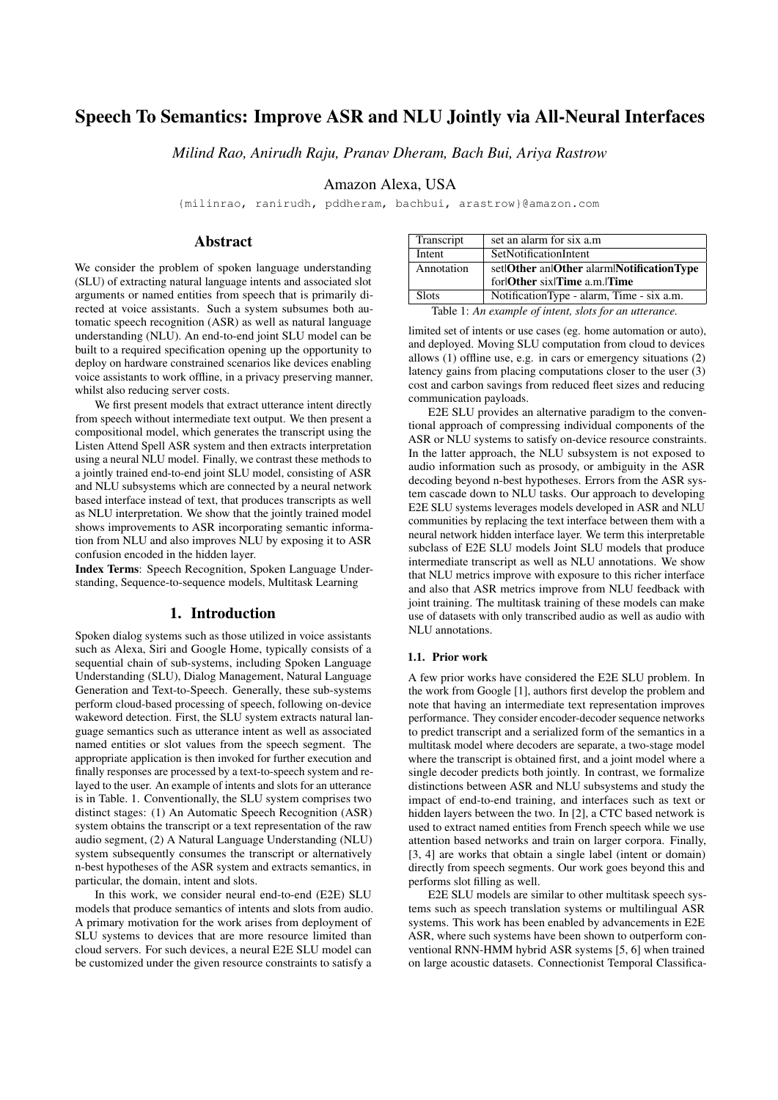# Speech To Semantics: Improve ASR and NLU Jointly via All-Neural Interfaces

*Milind Rao, Anirudh Raju, Pranav Dheram, Bach Bui, Ariya Rastrow*

Amazon Alexa, USA

{milinrao, ranirudh, pddheram, bachbui, arastrow}@amazon.com

# Abstract

We consider the problem of spoken language understanding (SLU) of extracting natural language intents and associated slot arguments or named entities from speech that is primarily directed at voice assistants. Such a system subsumes both automatic speech recognition (ASR) as well as natural language understanding (NLU). An end-to-end joint SLU model can be built to a required specification opening up the opportunity to deploy on hardware constrained scenarios like devices enabling voice assistants to work offline, in a privacy preserving manner, whilst also reducing server costs.

We first present models that extract utterance intent directly from speech without intermediate text output. We then present a compositional model, which generates the transcript using the Listen Attend Spell ASR system and then extracts interpretation using a neural NLU model. Finally, we contrast these methods to a jointly trained end-to-end joint SLU model, consisting of ASR and NLU subsystems which are connected by a neural network based interface instead of text, that produces transcripts as well as NLU interpretation. We show that the jointly trained model shows improvements to ASR incorporating semantic information from NLU and also improves NLU by exposing it to ASR confusion encoded in the hidden layer.

Index Terms: Speech Recognition, Spoken Language Understanding, Sequence-to-sequence models, Multitask Learning

# 1. Introduction

Spoken dialog systems such as those utilized in voice assistants such as Alexa, Siri and Google Home, typically consists of a sequential chain of sub-systems, including Spoken Language Understanding (SLU), Dialog Management, Natural Language Generation and Text-to-Speech. Generally, these sub-systems perform cloud-based processing of speech, following on-device wakeword detection. First, the SLU system extracts natural language semantics such as utterance intent as well as associated named entities or slot values from the speech segment. The appropriate application is then invoked for further execution and finally responses are processed by a text-to-speech system and relayed to the user. An example of intents and slots for an utterance is in Table. 1. Conventionally, the SLU system comprises two distinct stages: (1) An Automatic Speech Recognition (ASR) system obtains the transcript or a text representation of the raw audio segment, (2) A Natural Language Understanding (NLU) system subsequently consumes the transcript or alternatively n-best hypotheses of the ASR system and extracts semantics, in particular, the domain, intent and slots.

In this work, we consider neural end-to-end (E2E) SLU models that produce semantics of intents and slots from audio. A primary motivation for the work arises from deployment of SLU systems to devices that are more resource limited than cloud servers. For such devices, a neural E2E SLU model can be customized under the given resource constraints to satisfy a

| Transcript   | set an alarm for six a.m.                  |
|--------------|--------------------------------------------|
| Intent       | SetNotificationIntent                      |
| Annotation   | set Other an Other alarm Notification Type |
|              | for Other six Time a.m. Time               |
| <b>Slots</b> | NotificationType - alarm, Time - six a.m.  |
|              |                                            |

Table 1: *An example of intent, slots for an utterance.*

limited set of intents or use cases (eg. home automation or auto), and deployed. Moving SLU computation from cloud to devices allows (1) offline use, e.g. in cars or emergency situations (2) latency gains from placing computations closer to the user (3) cost and carbon savings from reduced fleet sizes and reducing communication payloads.

E2E SLU provides an alternative paradigm to the conventional approach of compressing individual components of the ASR or NLU systems to satisfy on-device resource constraints. In the latter approach, the NLU subsystem is not exposed to audio information such as prosody, or ambiguity in the ASR decoding beyond n-best hypotheses. Errors from the ASR system cascade down to NLU tasks. Our approach to developing E2E SLU systems leverages models developed in ASR and NLU communities by replacing the text interface between them with a neural network hidden interface layer. We term this interpretable subclass of E2E SLU models Joint SLU models that produce intermediate transcript as well as NLU annotations. We show that NLU metrics improve with exposure to this richer interface and also that ASR metrics improve from NLU feedback with joint training. The multitask training of these models can make use of datasets with only transcribed audio as well as audio with NLU annotations.

#### 1.1. Prior work

A few prior works have considered the E2E SLU problem. In the work from Google [1], authors first develop the problem and note that having an intermediate text representation improves performance. They consider encoder-decoder sequence networks to predict transcript and a serialized form of the semantics in a multitask model where decoders are separate, a two-stage model where the transcript is obtained first, and a joint model where a single decoder predicts both jointly. In contrast, we formalize distinctions between ASR and NLU subsystems and study the impact of end-to-end training, and interfaces such as text or hidden layers between the two. In [2], a CTC based network is used to extract named entities from French speech while we use attention based networks and train on larger corpora. Finally, [3, 4] are works that obtain a single label (intent or domain) directly from speech segments. Our work goes beyond this and performs slot filling as well.

E2E SLU models are similar to other multitask speech systems such as speech translation systems or multilingual ASR systems. This work has been enabled by advancements in E2E ASR, where such systems have been shown to outperform conventional RNN-HMM hybrid ASR systems [5, 6] when trained on large acoustic datasets. Connectionist Temporal Classifica-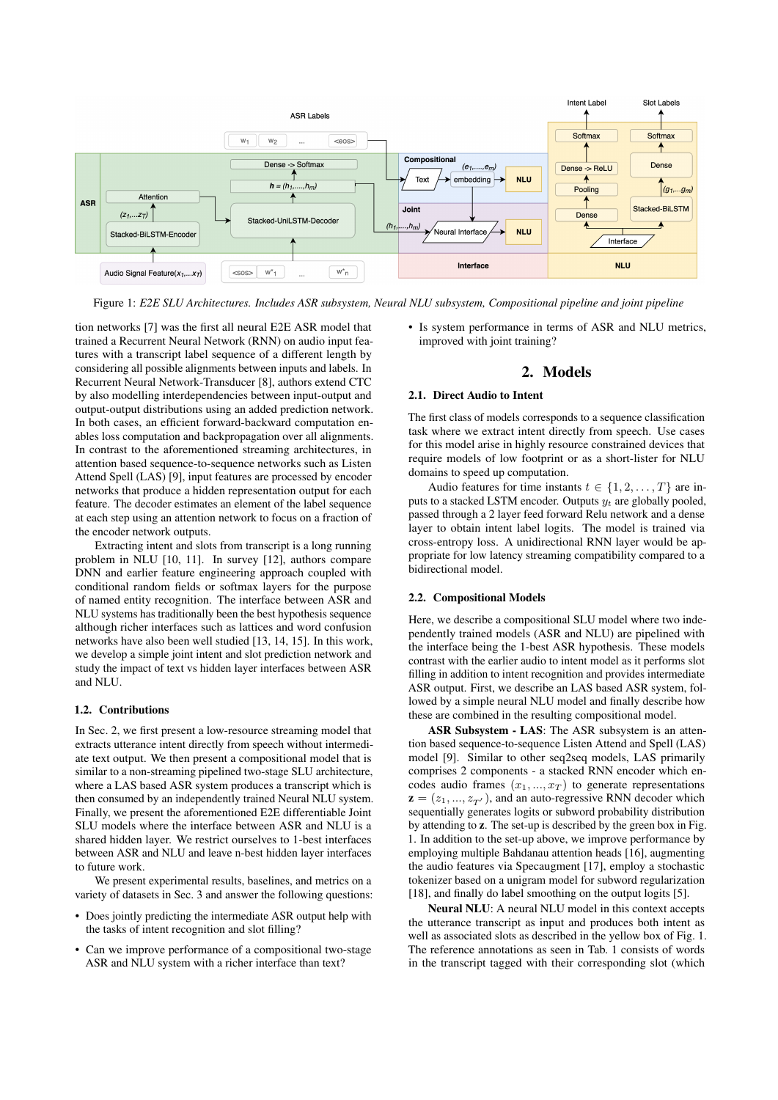

Figure 1: *E2E SLU Architectures. Includes ASR subsystem, Neural NLU subsystem, Compositional pipeline and joint pipeline*

tion networks [7] was the first all neural E2E ASR model that trained a Recurrent Neural Network (RNN) on audio input features with a transcript label sequence of a different length by considering all possible alignments between inputs and labels. In Recurrent Neural Network-Transducer [8], authors extend CTC by also modelling interdependencies between input-output and output-output distributions using an added prediction network. In both cases, an efficient forward-backward computation enables loss computation and backpropagation over all alignments. In contrast to the aforementioned streaming architectures, in attention based sequence-to-sequence networks such as Listen Attend Spell (LAS) [9], input features are processed by encoder networks that produce a hidden representation output for each feature. The decoder estimates an element of the label sequence at each step using an attention network to focus on a fraction of the encoder network outputs.

Extracting intent and slots from transcript is a long running problem in NLU [10, 11]. In survey [12], authors compare DNN and earlier feature engineering approach coupled with conditional random fields or softmax layers for the purpose of named entity recognition. The interface between ASR and NLU systems has traditionally been the best hypothesis sequence although richer interfaces such as lattices and word confusion networks have also been well studied [13, 14, 15]. In this work, we develop a simple joint intent and slot prediction network and study the impact of text vs hidden layer interfaces between ASR and NLU.

#### 1.2. Contributions

In Sec. 2, we first present a low-resource streaming model that extracts utterance intent directly from speech without intermediate text output. We then present a compositional model that is similar to a non-streaming pipelined two-stage SLU architecture, where a LAS based ASR system produces a transcript which is then consumed by an independently trained Neural NLU system. Finally, we present the aforementioned E2E differentiable Joint SLU models where the interface between ASR and NLU is a shared hidden layer. We restrict ourselves to 1-best interfaces between ASR and NLU and leave n-best hidden layer interfaces to future work.

We present experimental results, baselines, and metrics on a variety of datasets in Sec. 3 and answer the following questions:

- Does jointly predicting the intermediate ASR output help with the tasks of intent recognition and slot filling?
- Can we improve performance of a compositional two-stage ASR and NLU system with a richer interface than text?

• Is system performance in terms of ASR and NLU metrics, improved with joint training?

### 2. Models

#### 2.1. Direct Audio to Intent

The first class of models corresponds to a sequence classification task where we extract intent directly from speech. Use cases for this model arise in highly resource constrained devices that require models of low footprint or as a short-lister for NLU domains to speed up computation.

Audio features for time instants  $t \in \{1, 2, ..., T\}$  are inputs to a stacked LSTM encoder. Outputs  $y_t$  are globally pooled, passed through a 2 layer feed forward Relu network and a dense layer to obtain intent label logits. The model is trained via cross-entropy loss. A unidirectional RNN layer would be appropriate for low latency streaming compatibility compared to a bidirectional model.

### 2.2. Compositional Models

Here, we describe a compositional SLU model where two independently trained models (ASR and NLU) are pipelined with the interface being the 1-best ASR hypothesis. These models contrast with the earlier audio to intent model as it performs slot filling in addition to intent recognition and provides intermediate ASR output. First, we describe an LAS based ASR system, followed by a simple neural NLU model and finally describe how these are combined in the resulting compositional model.

ASR Subsystem - LAS: The ASR subsystem is an attention based sequence-to-sequence Listen Attend and Spell (LAS) model [9]. Similar to other seq2seq models, LAS primarily comprises 2 components - a stacked RNN encoder which encodes audio frames  $(x_1, ..., x_T)$  to generate representations  $z = (z_1, ..., z_{T'})$ , and an auto-regressive RNN decoder which sequentially generates logits or subword probability distribution by attending to z. The set-up is described by the green box in Fig. 1. In addition to the set-up above, we improve performance by employing multiple Bahdanau attention heads [16], augmenting the audio features via Specaugment [17], employ a stochastic tokenizer based on a unigram model for subword regularization [18], and finally do label smoothing on the output logits [5].

Neural NLU: A neural NLU model in this context accepts the utterance transcript as input and produces both intent as well as associated slots as described in the yellow box of Fig. 1. The reference annotations as seen in Tab. 1 consists of words in the transcript tagged with their corresponding slot (which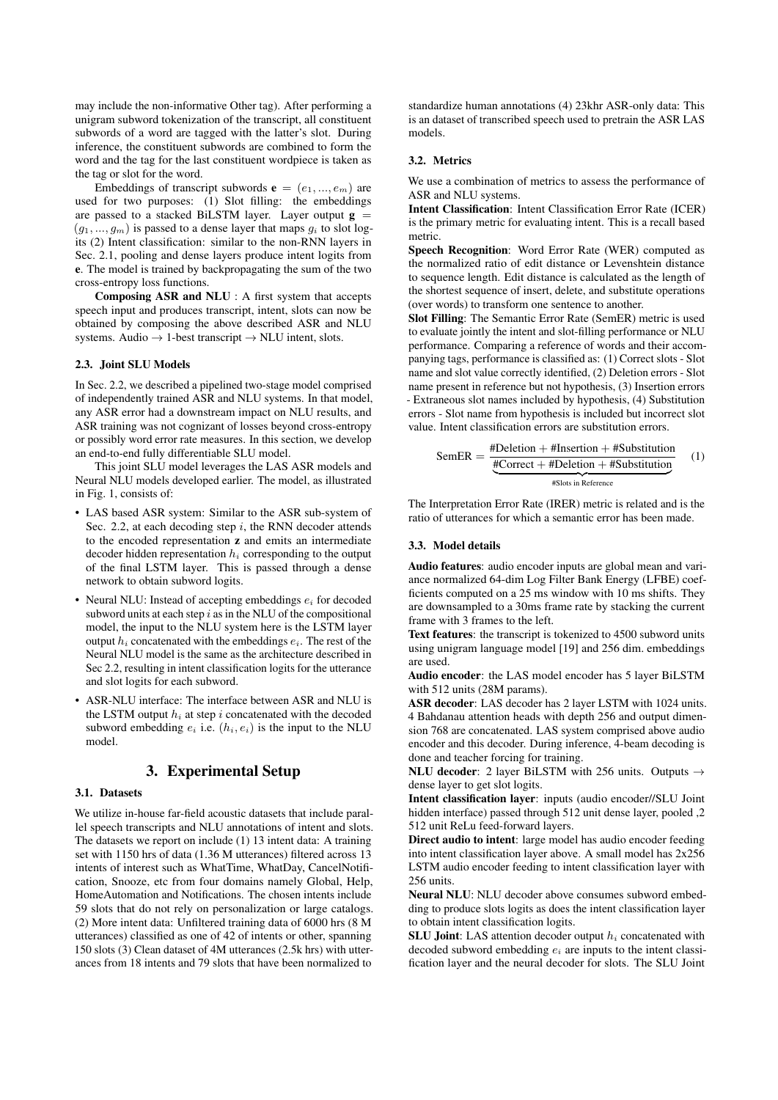may include the non-informative Other tag). After performing a unigram subword tokenization of the transcript, all constituent subwords of a word are tagged with the latter's slot. During inference, the constituent subwords are combined to form the word and the tag for the last constituent wordpiece is taken as the tag or slot for the word.

Embeddings of transcript subwords  $e = (e_1, ..., e_m)$  are used for two purposes: (1) Slot filling: the embeddings are passed to a stacked BiLSTM layer. Layer output  $g =$  $(q_1, ..., q_m)$  is passed to a dense layer that maps  $q_i$  to slot logits (2) Intent classification: similar to the non-RNN layers in Sec. 2.1, pooling and dense layers produce intent logits from e. The model is trained by backpropagating the sum of the two cross-entropy loss functions.

Composing ASR and NLU : A first system that accepts speech input and produces transcript, intent, slots can now be obtained by composing the above described ASR and NLU systems. Audio  $\rightarrow$  1-best transcript  $\rightarrow$  NLU intent, slots.

### 2.3. Joint SLU Models

In Sec. 2.2, we described a pipelined two-stage model comprised of independently trained ASR and NLU systems. In that model, any ASR error had a downstream impact on NLU results, and ASR training was not cognizant of losses beyond cross-entropy or possibly word error rate measures. In this section, we develop an end-to-end fully differentiable SLU model.

This joint SLU model leverages the LAS ASR models and Neural NLU models developed earlier. The model, as illustrated in Fig. 1, consists of:

- LAS based ASR system: Similar to the ASR sub-system of Sec. 2.2, at each decoding step  $i$ , the RNN decoder attends to the encoded representation z and emits an intermediate decoder hidden representation  $h_i$  corresponding to the output of the final LSTM layer. This is passed through a dense network to obtain subword logits.
- Neural NLU: Instead of accepting embeddings  $e_i$  for decoded subword units at each step  $i$  as in the NLU of the compositional model, the input to the NLU system here is the LSTM layer output  $h_i$  concatenated with the embeddings  $e_i$ . The rest of the Neural NLU model is the same as the architecture described in Sec 2.2, resulting in intent classification logits for the utterance and slot logits for each subword.
- ASR-NLU interface: The interface between ASR and NLU is the LSTM output  $h_i$  at step i concatenated with the decoded subword embedding  $e_i$  i.e.  $(h_i, e_i)$  is the input to the NLU model.

# 3. Experimental Setup

#### 3.1. Datasets

We utilize in-house far-field acoustic datasets that include parallel speech transcripts and NLU annotations of intent and slots. The datasets we report on include (1) 13 intent data: A training set with 1150 hrs of data (1.36 M utterances) filtered across 13 intents of interest such as WhatTime, WhatDay, CancelNotification, Snooze, etc from four domains namely Global, Help, HomeAutomation and Notifications. The chosen intents include 59 slots that do not rely on personalization or large catalogs. (2) More intent data: Unfiltered training data of 6000 hrs (8 M utterances) classified as one of 42 of intents or other, spanning 150 slots (3) Clean dataset of 4M utterances (2.5k hrs) with utterances from 18 intents and 79 slots that have been normalized to

standardize human annotations (4) 23khr ASR-only data: This is an dataset of transcribed speech used to pretrain the ASR LAS models.

#### 3.2. Metrics

We use a combination of metrics to assess the performance of ASR and NLU systems.

Intent Classification: Intent Classification Error Rate (ICER) is the primary metric for evaluating intent. This is a recall based metric.

Speech Recognition: Word Error Rate (WER) computed as the normalized ratio of edit distance or Levenshtein distance to sequence length. Edit distance is calculated as the length of the shortest sequence of insert, delete, and substitute operations (over words) to transform one sentence to another.

Slot Filling: The Semantic Error Rate (SemER) metric is used to evaluate jointly the intent and slot-filling performance or NLU performance. Comparing a reference of words and their accompanying tags, performance is classified as: (1) Correct slots - Slot name and slot value correctly identified, (2) Deletion errors - Slot name present in reference but not hypothesis, (3) Insertion errors - Extraneous slot names included by hypothesis, (4) Substitution errors - Slot name from hypothesis is included but incorrect slot value. Intent classification errors are substitution errors.

$$
SemER = \frac{\text{\#Deletion + #Insertion + #Substitution}}{\text{\#Correct + #Deletion + #Substitution}}
$$
 (1)

The Interpretation Error Rate (IRER) metric is related and is the ratio of utterances for which a semantic error has been made.

### 3.3. Model details

Audio features: audio encoder inputs are global mean and variance normalized 64-dim Log Filter Bank Energy (LFBE) coefficients computed on a 25 ms window with 10 ms shifts. They are downsampled to a 30ms frame rate by stacking the current frame with 3 frames to the left.

Text features: the transcript is tokenized to 4500 subword units using unigram language model [19] and 256 dim. embeddings are used.

Audio encoder: the LAS model encoder has 5 layer BiLSTM with 512 units (28M params).

ASR decoder: LAS decoder has 2 layer LSTM with 1024 units. 4 Bahdanau attention heads with depth 256 and output dimension 768 are concatenated. LAS system comprised above audio encoder and this decoder. During inference, 4-beam decoding is done and teacher forcing for training.

NLU decoder: 2 layer BiLSTM with 256 units. Outputs  $\rightarrow$ dense layer to get slot logits.

Intent classification layer: inputs (audio encoder//SLU Joint hidden interface) passed through 512 unit dense layer, pooled ,2 512 unit ReLu feed-forward layers.

Direct audio to intent: large model has audio encoder feeding into intent classification layer above. A small model has 2x256 LSTM audio encoder feeding to intent classification layer with 256 units.

Neural NLU: NLU decoder above consumes subword embedding to produce slots logits as does the intent classification layer to obtain intent classification logits.

SLU Joint: LAS attention decoder output  $h_i$  concatenated with decoded subword embedding  $e_i$  are inputs to the intent classification layer and the neural decoder for slots. The SLU Joint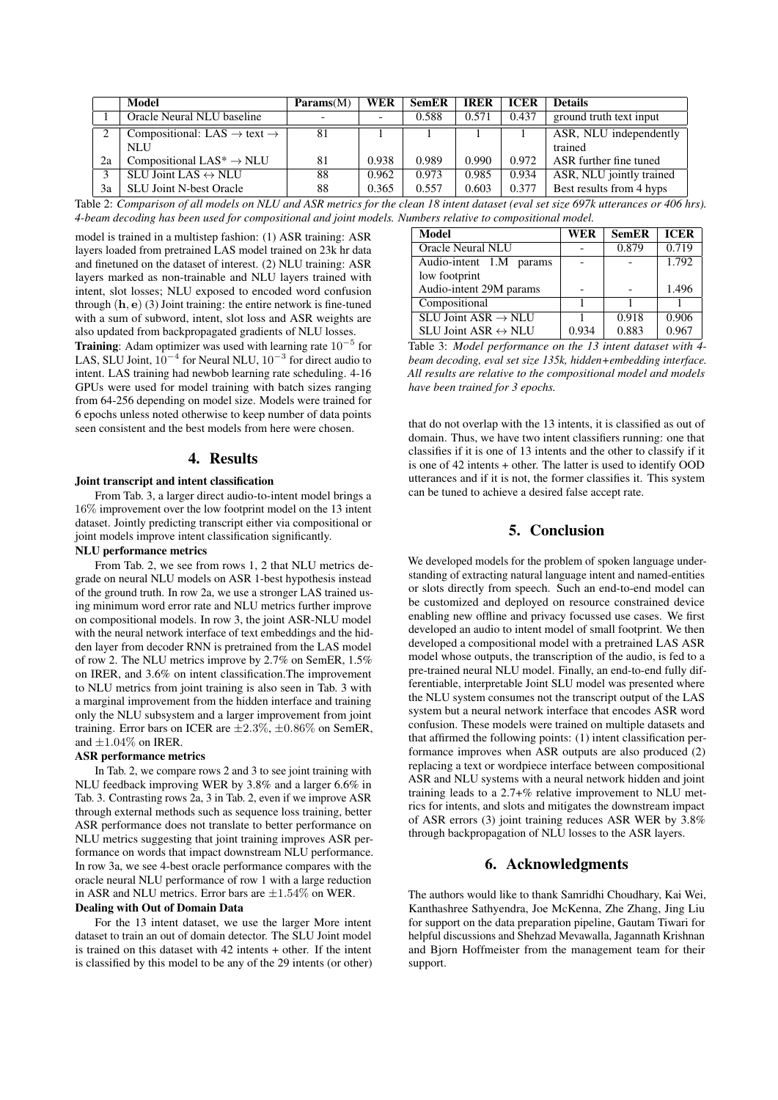|              | <b>Model</b>                                        | $\mathbf{Parameters}(M)$ | WER   | <b>SemER</b> | <b>IRER</b> | <b>ICER</b> | <b>Details</b>           |
|--------------|-----------------------------------------------------|--------------------------|-------|--------------|-------------|-------------|--------------------------|
|              | Oracle Neural NLU baseline                          |                          |       | 0.588        | 0.571       | 0.437       | ground truth text input  |
| ↑            | Compositional: LAS $\rightarrow$ text $\rightarrow$ | 81                       |       |              |             |             | ASR, NLU independently   |
|              | <b>NLU</b>                                          |                          |       |              |             |             | trained                  |
| 2a           | Compositional LAS <sup>*</sup> $\rightarrow$ NLU    | 81                       | 0.938 | 0.989        | 0.990       | 0.972       | ASR further fine tuned   |
| $\mathbf{a}$ | SLU Joint LAS $\leftrightarrow$ NLU                 | 88                       | 0.962 | 0.973        | 0.985       | 0.934       | ASR, NLU jointly trained |
| 3a           | <b>SLU Joint N-best Oracle</b>                      | 88                       | 0.365 | 0.557        | 0.603       | 0.377       | Best results from 4 hyps |

Table 2: *Comparison of all models on NLU and ASR metrics for the clean 18 intent dataset (eval set size 697k utterances or 406 hrs). 4-beam decoding has been used for compositional and joint models. Numbers relative to compositional model.*

model is trained in a multistep fashion: (1) ASR training: ASR layers loaded from pretrained LAS model trained on 23k hr data and finetuned on the dataset of interest. (2) NLU training: ASR layers marked as non-trainable and NLU layers trained with intent, slot losses; NLU exposed to encoded word confusion through  $(h, e)$  (3) Joint training: the entire network is fine-tuned with a sum of subword, intent, slot loss and ASR weights are also updated from backpropagated gradients of NLU losses.

**Training:** Adam optimizer was used with learning rate  $10^{-5}$  for LAS, SLU Joint,  $10^{-4}$  for Neural NLU,  $10^{-3}$  for direct audio to intent. LAS training had newbob learning rate scheduling. 4-16 GPUs were used for model training with batch sizes ranging from 64-256 depending on model size. Models were trained for 6 epochs unless noted otherwise to keep number of data points seen consistent and the best models from here were chosen.

### 4. Results

### Joint transcript and intent classification

From Tab. 3, a larger direct audio-to-intent model brings a 16% improvement over the low footprint model on the 13 intent dataset. Jointly predicting transcript either via compositional or joint models improve intent classification significantly.

# NLU performance metrics

From Tab. 2, we see from rows 1, 2 that NLU metrics degrade on neural NLU models on ASR 1-best hypothesis instead of the ground truth. In row 2a, we use a stronger LAS trained using minimum word error rate and NLU metrics further improve on compositional models. In row 3, the joint ASR-NLU model with the neural network interface of text embeddings and the hidden layer from decoder RNN is pretrained from the LAS model of row 2. The NLU metrics improve by 2.7% on SemER, 1.5% on IRER, and 3.6% on intent classification.The improvement to NLU metrics from joint training is also seen in Tab. 3 with a marginal improvement from the hidden interface and training only the NLU subsystem and a larger improvement from joint training. Error bars on ICER are  $\pm 2.3\%$ ,  $\pm 0.86\%$  on SemER, and  $\pm 1.04\%$  on IRER.

### ASR performance metrics

In Tab. 2, we compare rows 2 and 3 to see joint training with NLU feedback improving WER by 3.8% and a larger 6.6% in Tab. 3. Contrasting rows 2a, 3 in Tab. 2, even if we improve ASR through external methods such as sequence loss training, better ASR performance does not translate to better performance on NLU metrics suggesting that joint training improves ASR performance on words that impact downstream NLU performance. In row 3a, we see 4-best oracle performance compares with the oracle neural NLU performance of row 1 with a large reduction in ASR and NLU metrics. Error bars are  $\pm 1.54\%$  on WER.

#### Dealing with Out of Domain Data

For the 13 intent dataset, we use the larger More intent dataset to train an out of domain detector. The SLU Joint model is trained on this dataset with 42 intents + other. If the intent is classified by this model to be any of the 29 intents (or other)

| Model                               | WER   | <b>SemER</b> | <b>ICER</b> |
|-------------------------------------|-------|--------------|-------------|
| Oracle Neural NLU                   |       | 0.879        | 0.719       |
| Audio-intent 1.M params             |       |              | 1.792       |
| low footprint                       |       |              |             |
| Audio-intent 29M params             |       |              | 1.496       |
| Compositional                       |       |              |             |
| SLU Joint ASR $\rightarrow$ NLU     |       | 0.918        | 0.906       |
| SLU Joint ASR $\leftrightarrow$ NLU | 0.934 | 0.883        | 0.967       |

Table 3: *Model performance on the 13 intent dataset with 4 beam decoding, eval set size 135k, hidden+embedding interface. All results are relative to the compositional model and models have been trained for 3 epochs.*

that do not overlap with the 13 intents, it is classified as out of domain. Thus, we have two intent classifiers running: one that classifies if it is one of 13 intents and the other to classify if it is one of 42 intents + other. The latter is used to identify OOD utterances and if it is not, the former classifies it. This system can be tuned to achieve a desired false accept rate.

# 5. Conclusion

We developed models for the problem of spoken language understanding of extracting natural language intent and named-entities or slots directly from speech. Such an end-to-end model can be customized and deployed on resource constrained device enabling new offline and privacy focussed use cases. We first developed an audio to intent model of small footprint. We then developed a compositional model with a pretrained LAS ASR model whose outputs, the transcription of the audio, is fed to a pre-trained neural NLU model. Finally, an end-to-end fully differentiable, interpretable Joint SLU model was presented where the NLU system consumes not the transcript output of the LAS system but a neural network interface that encodes ASR word confusion. These models were trained on multiple datasets and that affirmed the following points: (1) intent classification performance improves when ASR outputs are also produced (2) replacing a text or wordpiece interface between compositional ASR and NLU systems with a neural network hidden and joint training leads to a 2.7+% relative improvement to NLU metrics for intents, and slots and mitigates the downstream impact of ASR errors (3) joint training reduces ASR WER by 3.8% through backpropagation of NLU losses to the ASR layers.

# 6. Acknowledgments

The authors would like to thank Samridhi Choudhary, Kai Wei, Kanthashree Sathyendra, Joe McKenna, Zhe Zhang, Jing Liu for support on the data preparation pipeline, Gautam Tiwari for helpful discussions and Shehzad Mevawalla, Jagannath Krishnan and Bjorn Hoffmeister from the management team for their support.